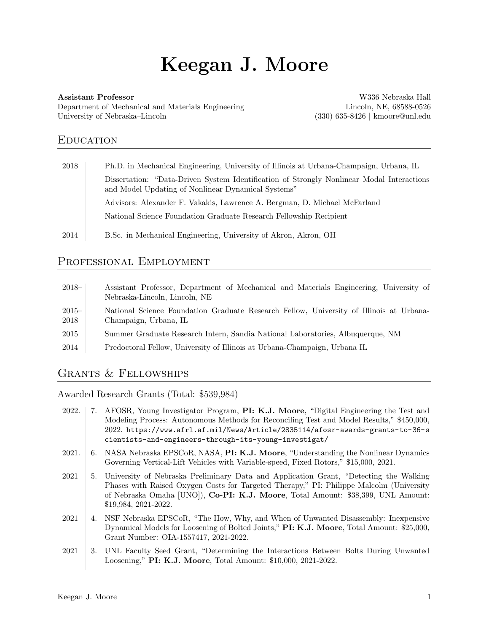# Keegan J. Moore

#### Assistant Professor

Department of Mechanical and Materials Engineering University of Nebraska–Lincoln

W336 Nebraska Hall Lincoln, NE, 68588-0526 (330) 635-8426 | kmoore@unl.edu

# **EDUCATION**

| 2018 | Ph.D. in Mechanical Engineering, University of Illinois at Urbana-Champaign, Urbana, IL                                                         |
|------|-------------------------------------------------------------------------------------------------------------------------------------------------|
|      | Dissertation: "Data-Driven System Identification of Strongly Nonlinear Modal Interactions<br>and Model Updating of Nonlinear Dynamical Systems" |
|      | Advisors: Alexander F. Vakakis, Lawrence A. Bergman, D. Michael McFarland                                                                       |
|      | National Science Foundation Graduate Research Fellowship Recipient                                                                              |
| 2014 | B.Sc. in Mechanical Engineering, University of Akron, Akron, OH                                                                                 |

## PROFESSIONAL EMPLOYMENT

| $2018-$         | Assistant Professor, Department of Mechanical and Materials Engineering, University of<br>Nebraska-Lincoln, Lincoln, NE |
|-----------------|-------------------------------------------------------------------------------------------------------------------------|
| $2015-$<br>2018 | National Science Foundation Graduate Research Fellow, University of Illinois at Urbana-<br>Champaign, Urbana, IL        |
| 2015            | Summer Graduate Research Intern, Sandia National Laboratories, Albuquerque, NM                                          |
| 2014            | Predoctoral Fellow, University of Illinois at Urbana-Champaign, Urbana IL                                               |
|                 |                                                                                                                         |

# Grants & Fellowships

Awarded Research Grants (Total: \$539,984)

- 2022. 7. AFOSR, Young Investigator Program, PI: K.J. Moore, "Digital Engineering the Test and Modeling Process: Autonomous Methods for Reconciling Test and Model Results," \$450,000, 2022. [https://www.afrl.af.mil/News/Article/2835114/afosr-awards-grants-to-36-s](https://www.afrl.af.mil/News/Article/2835114/afosr-awards-grants-to-36-scientists-and-engineers-through-its-young-investigat/) [cientists-and-engineers-through-its-young-investigat/](https://www.afrl.af.mil/News/Article/2835114/afosr-awards-grants-to-36-scientists-and-engineers-through-its-young-investigat/)
- 2021. 6. NASA Nebraska EPSCoR, NASA, PI: K.J. Moore, "Understanding the Nonlinear Dynamics Governing Vertical-Lift Vehicles with Variable-speed, Fixed Rotors," \$15,000, 2021.
- 2021 5. University of Nebraska Preliminary Data and Application Grant, "Detecting the Walking Phases with Raised Oxygen Costs for Targeted Therapy," PI: Philippe Malcolm (University of Nebraska Omaha [UNO]), Co-PI: K.J. Moore, Total Amount: \$38,399, UNL Amount: \$19,984, 2021-2022.
- 2021 4. NSF Nebraska EPSCoR, "The How, Why, and When of Unwanted Disassembly: Inexpensive Dynamical Models for Loosening of Bolted Joints," PI: K.J. Moore, Total Amount: \$25,000, Grant Number: OIA-1557417, 2021-2022.
- 2021 3. UNL Faculty Seed Grant, "Determining the Interactions Between Bolts During Unwanted Loosening," PI: K.J. Moore, Total Amount: \$10,000, 2021-2022.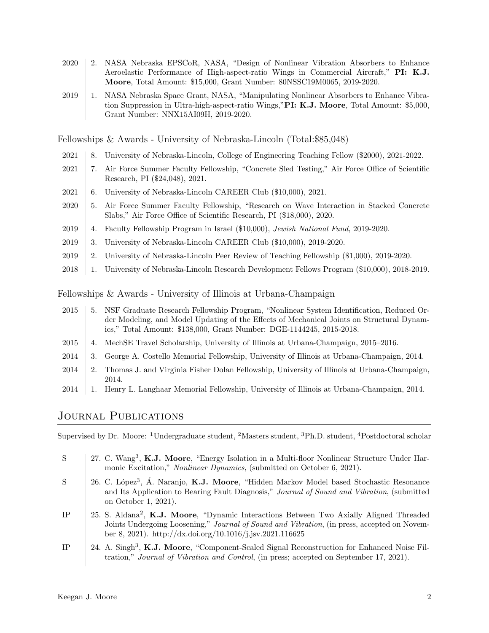- 2020 2. NASA Nebraska EPSCoR, NASA, "Design of Nonlinear Vibration Absorbers to Enhance Aeroelastic Performance of High-aspect-ratio Wings in Commercial Aircraft," PI: K.J. Moore, Total Amount: \$15,000, Grant Number: 80NSSC19M0065, 2019-2020.
- 2019 1. NASA Nebraska Space Grant, NASA, "Manipulating Nonlinear Absorbers to Enhance Vibration Suppression in Ultra-high-aspect-ratio Wings,"PI: K.J. Moore, Total Amount: \$5,000, Grant Number: NNX15AI09H, 2019-2020.

Fellowships & Awards - University of Nebraska-Lincoln (Total:\$85,048)

- 2021 8. University of Nebraska-Lincoln, College of Engineering Teaching Fellow (\$2000), 2021-2022.
- 2021 7. Air Force Summer Faculty Fellowship, "Concrete Sled Testing," Air Force Office of Scientific Research, PI (\$24,048), 2021.
- 2021 6. University of Nebraska-Lincoln CAREER Club (\$10,000), 2021.
- 2020 5. Air Force Summer Faculty Fellowship, "Research on Wave Interaction in Stacked Concrete Slabs," Air Force Office of Scientific Research, PI (\$18,000), 2020.
- 2019 4. Faculty Fellowship Program in Israel (\$10,000), Jewish National Fund, 2019-2020.
- 2019 3. University of Nebraska-Lincoln CAREER Club (\$10,000), 2019-2020.
- 2019 2. University of Nebraska-Lincoln Peer Review of Teaching Fellowship (\$1,000), 2019-2020.
- 2018 1. University of Nebraska-Lincoln Research Development Fellows Program (\$10,000), 2018-2019.

Fellowships & Awards - University of Illinois at Urbana-Champaign

- 2015 5. NSF Graduate Research Fellowship Program, "Nonlinear System Identification, Reduced Order Modeling, and Model Updating of the Effects of Mechanical Joints on Structural Dynamics," Total Amount: \$138,000, Grant Number: DGE-1144245, 2015-2018.
- 2015 4. MechSE Travel Scholarship, University of Illinois at Urbana-Champaign, 2015–2016.
- 2014 3. George A. Costello Memorial Fellowship, University of Illinois at Urbana-Champaign, 2014.
- 2014 2. Thomas J. and Virginia Fisher Dolan Fellowship, University of Illinois at Urbana-Champaign, 2014.
- 2014 1. Henry L. Langhaar Memorial Fellowship, University of Illinois at Urbana-Champaign, 2014.

## Journal Publications

Supervised by Dr. Moore: <sup>1</sup>Undergraduate student, <sup>2</sup>Masters student, <sup>3</sup>Ph.D. student, <sup>4</sup>Postdoctoral scholar

- S 27. C. Wang<sup>3</sup>, K.J. Moore, "Energy Isolation in a Multi-floor Nonlinear Structure Under Harmonic Excitation," Nonlinear Dynamics, (submitted on October 6, 2021).
- S 26. C. López<sup>3</sup>, Á. Naranjo, **K.J. Moore**, "Hidden Markov Model based Stochastic Resonance and Its Application to Bearing Fault Diagnosis," Journal of Sound and Vibration, (submitted on October 1, 2021).
- IP 25. S. Aldana<sup>2</sup>, K.J. Moore, "Dynamic Interactions Between Two Axially Aligned Threaded Joints Undergoing Loosening," Journal of Sound and Vibration, (in press, accepted on November 8, 2021). [http://dx.doi.org/10.1016/j.jsv.2021.116625](https://dx.doi.org/10.1016/j.jsv.2021.116625)
- IP 24. A. Singh<sup>3</sup>, K.J. Moore, "Component-Scaled Signal Reconstruction for Enhanced Noise Filtration," Journal of Vibration and Control, (in press; accepted on September 17, 2021).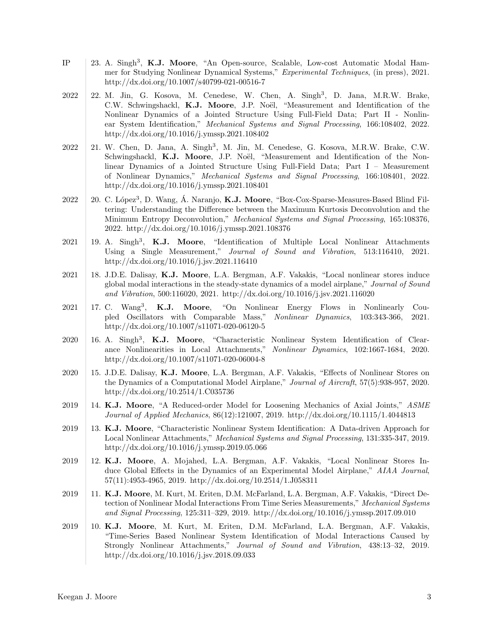- IP | 23. A. Singh<sup>3</sup>, K.J. Moore, "An Open-source, Scalable, Low-cost Automatic Modal Hammer for Studying Nonlinear Dynamical Systems," Experimental Techniques, (in press), 2021. [http://dx.doi.org/10.1007/s40799-021-00516-7](https://dx.doi.org/10.1007/s40799-021-00516-7)
- 2022 | 22. M. Jin, G. Kosova, M. Cenedese, W. Chen, A. Singh<sup>3</sup>, D. Jana, M.R.W. Brake, C.W. Schwingshackl, K.J. Moore, J.P. Noël, "Measurement and Identification of the Nonlinear Dynamics of a Jointed Structure Using Full-Field Data; Part II - Nonlinear System Identification," Mechanical Systems and Signal Processing, 166:108402, 2022. [http://dx.doi.org/10.1016/j.ymssp.2021.108402](https://dx.doi.org/10.1016/j.ymssp.2021.108402)
- 2022 | 21. W. Chen, D. Jana, A. Singh<sup>3</sup>, M. Jin, M. Cenedese, G. Kosova, M.R.W. Brake, C.W. Schwingshackl, K.J. Moore, J.P. Noël, "Measurement and Identification of the Nonlinear Dynamics of a Jointed Structure Using Full-Field Data; Part I – Measurement of Nonlinear Dynamics," Mechanical Systems and Signal Processing, 166:108401, 2022. [http://dx.doi.org/10.1016/j.ymssp.2021.108401](https://dx.doi.org/10.1016/j.ymssp.2021.108401)
- 2022 | 20. C. López<sup>3</sup>, D. Wang, Á. Naranjo, **K.J. Moore**, "Box-Cox-Sparse-Measures-Based Blind Filtering: Understanding the Difference between the Maximum Kurtosis Deconvolution and the Minimum Entropy Deconvolution," Mechanical Systems and Signal Processing, 165:108376, 2022. [http://dx.doi.org/10.1016/j.ymssp.2021.108376](https://dx.doi.org/10.1016/j.ymssp.2021.108376)
- $2021$  | 19. A. Singh<sup>3</sup>, **K.J. Moore**, "Identification of Multiple Local Nonlinear Attachments Using a Single Measurement," Journal of Sound and Vibration, 513:116410, 2021. [http://dx.doi.org/10.1016/j.jsv.2021.116410](https://dx.doi.org/10.1016/j.jsv.2021.116410)
- 2021 18. J.D.E. Dalisay, K.J. Moore, L.A. Bergman, A.F. Vakakis, "Local nonlinear stores induce global modal interactions in the steady-state dynamics of a model airplane," Journal of Sound and Vibration, 500:116020, 2021. [http://dx.doi.org/10.1016/j.jsv.2021.116020](https://dx.doi.org/10.1016/j.jsv.2021.116020)
- 2021 | 17. C. Wang<sup>3</sup>, **K.J. Moore**, "On Nonlinear Energy Flows in Nonlinearly Coupled Oscillators with Comparable Mass," Nonlinear Dynamics, 103:343-366, 2021. [http://dx.doi.org/10.1007/s11071-020-06120-5](https://dx.doi.org/10.1007/s11071-020-06120-5)
- 2020 16. A. Singh<sup>3</sup>, K.J. Moore, "Characteristic Nonlinear System Identification of Clearance Nonlinearities in Local Attachments," Nonlinear Dynamics, 102:1667-1684, 2020. [http://dx.doi.org/10.1007/s11071-020-06004-8](https://dx.doi.org/10.1007/s11071-020-06004-8)
- 2020 15. J.D.E. Dalisay, K.J. Moore, L.A. Bergman, A.F. Vakakis, "Effects of Nonlinear Stores on the Dynamics of a Computational Model Airplane," Journal of Aircraft, 57(5):938-957, 2020. [http://dx.doi.org/10.2514/1.C035736](https://dx.doi.org/10.2514/1.C035736)
- 2019 14. K.J. Moore, "A Reduced-order Model for Loosening Mechanics of Axial Joints," ASME Journal of Applied Mechanics, 86(12):121007, 2019. [http://dx.doi.org/10.1115/1.4044813](https://dx.doi.org/10.1115/1.4044813)
- 2019 13. K.J. Moore, "Characteristic Nonlinear System Identification: A Data-driven Approach for Local Nonlinear Attachments," Mechanical Systems and Signal Processing, 131:335-347, 2019. [http://dx.doi.org/10.1016/j.ymssp.2019.05.066](https://dx.doi.org/10.1016/j.ymssp.2019.05.066)
- 2019 12. K.J. Moore, A. Mojahed, L.A. Bergman, A.F. Vakakis, "Local Nonlinear Stores Induce Global Effects in the Dynamics of an Experimental Model Airplane," AIAA Journal, 57(11):4953-4965, 2019. [http://dx.doi.org/10.2514/1.J058311](https://dx.doi.org/10.2514/1.J058311)
- 2019 | 11. K.J. Moore, M. Kurt, M. Eriten, D.M. McFarland, L.A. Bergman, A.F. Vakakis, "Direct Detection of Nonlinear Modal Interactions From Time Series Measurements," Mechanical Systems and Signal Processing, 125:311–329, 2019. [http://dx.doi.org/10.1016/j.ymssp.2017.09.010](https://dx.doi.org/10.1016/j.ymssp.2017.09.010)
- 2019 10. K.J. Moore, M. Kurt, M. Eriten, D.M. McFarland, L.A. Bergman, A.F. Vakakis, "Time-Series Based Nonlinear System Identification of Modal Interactions Caused by Strongly Nonlinear Attachments," Journal of Sound and Vibration, 438:13–32, 2019. [http://dx.doi.org/10.1016/j.jsv.2018.09.033](https://dx.doi.org/10.1016/j.jsv.2018.09.033)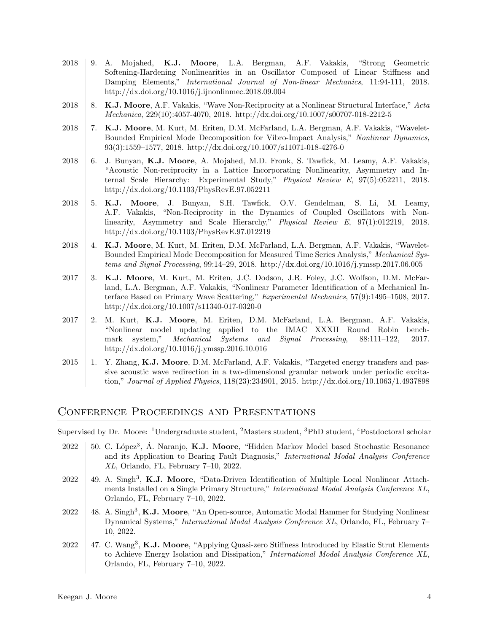- 2018 9. A. Mojahed, K.J. Moore, L.A. Bergman, A.F. Vakakis, "Strong Geometric Softening-Hardening Nonlinearities in an Oscillator Composed of Linear Stiffness and Damping Elements," International Journal of Non-linear Mechanics, 11:94-111, 2018. [http://dx.doi.org/10.1016/j.ijnonlinmec.2018.09.004](https://dx.doi.org/10.1016/j.ijnonlinmec.2018.09.004)
- 2018 8. K.J. Moore, A.F. Vakakis, "Wave Non-Reciprocity at a Nonlinear Structural Interface," Acta Mechanica, 229(10):4057-4070, 2018. [http://dx.doi.org/10.1007/s00707-018-2212-5](https://dx.doi.org/10.1007/s00707-018-2212-5)
- 2018 7. K.J. Moore, M. Kurt, M. Eriten, D.M. McFarland, L.A. Bergman, A.F. Vakakis, "Wavelet-Bounded Empirical Mode Decomposition for Vibro-Impact Analysis," Nonlinear Dynamics, 93(3):1559–1577, 2018. [http://dx.doi.org/10.1007/s11071-018-4276-0](https://dx.doi.org/10.1007/s11071-018-4276-0)
- 2018 6. J. Bunyan, K.J. Moore, A. Mojahed, M.D. Fronk, S. Tawfick, M. Leamy, A.F. Vakakis, "Acoustic Non-reciprocity in a Lattice Incorporating Nonlinearity, Asymmetry and Internal Scale Hierarchy: Experimental Study," Physical Review E, 97(5):052211, 2018. [http://dx.doi.org/10.1103/PhysRevE.97.052211](https://dx.doi.org/10.1103/PhysRevE.97.052211)
- 2018 5. K.J. Moore, J. Bunyan, S.H. Tawfick, O.V. Gendelman, S. Li, M. Leamy, A.F. Vakakis, "Non-Reciprocity in the Dynamics of Coupled Oscillators with Nonlinearity, Asymmetry and Scale Hierarchy," Physical Review E, 97(1):012219, 2018. [http://dx.doi.org/10.1103/PhysRevE.97.012219](https://dx.doi.org/10.1103/PhysRevE.97.012219)
- 2018 4. K.J. Moore, M. Kurt, M. Eriten, D.M. McFarland, L.A. Bergman, A.F. Vakakis, "Wavelet-Bounded Empirical Mode Decomposition for Measured Time Series Analysis," Mechanical Systems and Signal Processing, 99:14–29, 2018. [http://dx.doi.org/10.1016/j.ymssp.2017.06.005](https://dx.doi.org/10.1016/j.ymssp.2017.06.005)
- 2017 3. K.J. Moore, M. Kurt, M. Eriten, J.C. Dodson, J.R. Foley, J.C. Wolfson, D.M. McFarland, L.A. Bergman, A.F. Vakakis, "Nonlinear Parameter Identification of a Mechanical Interface Based on Primary Wave Scattering," Experimental Mechanics, 57(9):1495–1508, 2017. [http://dx.doi.org/10.1007/s11340-017-0320-0](https://dx.doi.org/10.1007/s11340-017-0320-0)
- 2017 2. M. Kurt, K.J. Moore, M. Eriten, D.M. McFarland, L.A. Bergman, A.F. Vakakis, "Nonlinear model updating applied to the IMAC XXXII Round Robin benchmark system," Mechanical Systems and Signal Processing, 88:111–122, 2017. [http://dx.doi.org/10.1016/j.ymssp.2016.10.016](https://dx.doi.org/10.1016/j.ymssp.2016.10.016)
- 2015 1. Y. Zhang, K.J. Moore, D.M. McFarland, A.F. Vakakis, "Targeted energy transfers and passive acoustic wave redirection in a two-dimensional granular network under periodic excitation," Journal of Applied Physics, 118(23):234901, 2015. [http://dx.doi.org/10.1063/1.4937898](https://dx.doi.org/10.1063/1.4937898)

## Conference Proceedings and Presentations

Supervised by Dr. Moore: <sup>1</sup>Undergraduate student, <sup>2</sup>Masters student, <sup>3</sup>PhD student, <sup>4</sup>Postdoctoral scholar

- 2022 | 50. C. López<sup>3</sup>, Á. Naranjo, **K.J. Moore**, "Hidden Markov Model based Stochastic Resonance and its Application to Bearing Fault Diagnosis," International Modal Analysis Conference XL, Orlando, FL, February 7–10, 2022.
- 2022 | 49. A. Singh<sup>3</sup>, K.J. Moore, "Data-Driven Identification of Multiple Local Nonlinear Attachments Installed on a Single Primary Structure," International Modal Analysis Conference XL, Orlando, FL, February 7–10, 2022.
- 2022 | 48. A. Singh<sup>3</sup>, K.J. Moore, "An Open-source, Automatic Modal Hammer for Studying Nonlinear Dynamical Systems," International Modal Analysis Conference XL, Orlando, FL, February 7– 10, 2022.
- 2022 | 47. C. Wang<sup>3</sup>, **K.J. Moore**, "Applying Quasi-zero Stiffness Introduced by Elastic Strut Elements to Achieve Energy Isolation and Dissipation," International Modal Analysis Conference XL, Orlando, FL, February 7–10, 2022.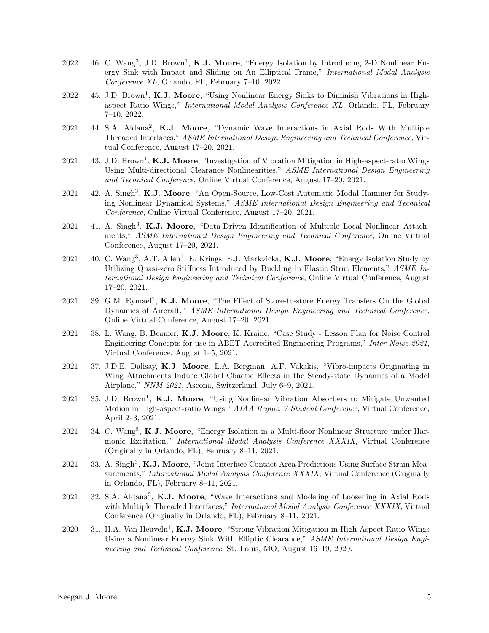- $2022 \mid 46$ . C. Wang<sup>3</sup>, J.D. Brown<sup>1</sup>, K.J. Moore, "Energy Isolation by Introducing 2-D Nonlinear Energy Sink with Impact and Sliding on An Elliptical Frame," International Modal Analysis Conference XL, Orlando, FL, February 7–10, 2022.
- 2022 | 45. J.D. Brown<sup>1</sup>, **K.J. Moore**, "Using Nonlinear Energy Sinks to Diminish Vibrations in Highaspect Ratio Wings," International Modal Analysis Conference XL, Orlando, FL, February 7–10, 2022.
- 2021 | 44. S.A. Aldana<sup>2</sup>, K.J. Moore, "Dynamic Wave Interactions in Axial Rods With Multiple Threaded Interfaces," ASME International Design Engineering and Technical Conference, Virtual Conference, August 17–20, 2021.
- 2021  $\parallel$  43. J.D. Brown<sup>1</sup>, **K.J. Moore**, "Investigation of Vibration Mitigation in High-aspect-ratio Wings Using Multi-directional Clearance Nonlinearities," ASME International Design Engineering and Technical Conference, Online Virtual Conference, August 17–20, 2021.
- 2021 | 42. A. Singh<sup>3</sup>, K.J. Moore, "An Open-Source, Low-Cost Automatic Modal Hammer for Studying Nonlinear Dynamical Systems," ASME International Design Engineering and Technical Conference, Online Virtual Conference, August 17–20, 2021.
- $2021$  | 41. A. Singh<sup>3</sup>, **K.J. Moore**, "Data-Driven Identification of Multiple Local Nonlinear Attachments," ASME International Design Engineering and Technical Conference, Online Virtual Conference, August 17–20, 2021.
- 2021 | 40. C. Wang<sup>3</sup>, A.T. Allen<sup>1</sup>, E. Krings, E.J. Markvicka, K.J. Moore, "Energy Isolation Study by Utilizing Quasi-zero Stiffness Introduced by Buckling in Elastic Strut Elements," ASME International Design Engineering and Technical Conference, Online Virtual Conference, August 17–20, 2021.
- 2021 39. G.M. Eymael<sup>1</sup>, K.J. Moore, "The Effect of Store-to-store Energy Transfers On the Global Dynamics of Aircraft," ASME International Design Engineering and Technical Conference, Online Virtual Conference, August 17–20, 2021.
- 2021 38. L. Wang, B. Beamer, K.J. Moore, K. Krainc, "Case Study Lesson Plan for Noise Control Engineering Concepts for use in ABET Accredited Engineering Programs," Inter-Noise 2021, Virtual Conference, August 1–5, 2021.
- 2021 37. J.D.E. Dalisay, K.J. Moore, L.A. Bergman, A.F. Vakakis, "Vibro-impacts Originating in Wing Attachments Induce Global Chaotic Effects in the Steady-state Dynamics of a Model Airplane," NNM 2021, Ascona, Switzerland, July 6–9, 2021.
- 2021 | 35. J.D. Brown<sup>1</sup>, **K.J. Moore**, "Using Nonlinear Vibration Absorbers to Mitigate Unwanted Motion in High-aspect-ratio Wings," AIAA Region V Student Conference, Virtual Conference, April 2–3, 2021.
- $2021$  34. C. Wang<sup>3</sup>, K.J. Moore, "Energy Isolation in a Multi-floor Nonlinear Structure under Harmonic Excitation," International Modal Analysis Conference XXXIX, Virtual Conference (Originally in Orlando, FL), February 8–11, 2021.
- 2021 33. A. Singh<sup>3</sup>, K.J. Moore, "Joint Interface Contact Area Predictions Using Surface Strain Measurements," *International Modal Analysis Conference XXXIX*, Virtual Conference (Originally in Orlando, FL), February 8–11, 2021.
- 2021 32. S.A. Aldana<sup>2</sup>, K.J. Moore, "Wave Interactions and Modeling of Loosening in Axial Rods with Multiple Threaded Interfaces," *International Modal Analysis Conference XXXIX*, Virtual Conference (Originally in Orlando, FL), February 8–11, 2021.
- 2020 | 31. H.A. Van Heuveln<sup>1</sup>, **K.J. Moore**, "Strong Vibration Mitigation in High-Aspect-Ratio Wings Using a Nonlinear Energy Sink With Elliptic Clearance," ASME International Design Engineering and Technical Conference, St. Louis, MO, August 16–19, 2020.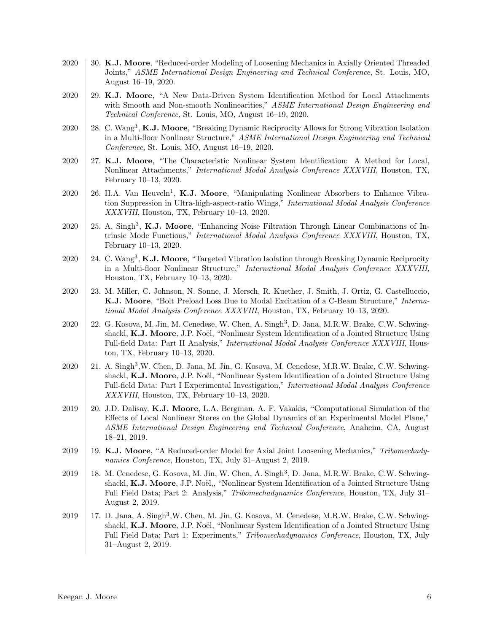- 2020 30. K.J. Moore, "Reduced-order Modeling of Loosening Mechanics in Axially Oriented Threaded Joints," ASME International Design Engineering and Technical Conference, St. Louis, MO, August 16–19, 2020.
- 2020 29. K.J. Moore, "A New Data-Driven System Identification Method for Local Attachments with Smooth and Non-smooth Nonlinearities," ASME International Design Engineering and Technical Conference, St. Louis, MO, August 16–19, 2020.
- 2020 | 28. C. Wang<sup>3</sup>, K.J. Moore, "Breaking Dynamic Reciprocity Allows for Strong Vibration Isolation in a Multi-floor Nonlinear Structure," ASME International Design Engineering and Technical Conference, St. Louis, MO, August 16–19, 2020.
- 2020 27. K.J. Moore, "The Characteristic Nonlinear System Identification: A Method for Local, Nonlinear Attachments," International Modal Analysis Conference XXXVIII, Houston, TX, February 10–13, 2020.
- 2020 | 26. H.A. Van Heuveln<sup>1</sup>, **K.J. Moore**, "Manipulating Nonlinear Absorbers to Enhance Vibration Suppression in Ultra-high-aspect-ratio Wings," International Modal Analysis Conference XXXVIII, Houston, TX, February 10–13, 2020.
- $2020$  | 25. A. Singh<sup>3</sup>, K.J. Moore, "Enhancing Noise Filtration Through Linear Combinations of Intrinsic Mode Functions," International Modal Analysis Conference XXXVIII, Houston, TX, February 10–13, 2020.
- 2020 | 24. C. Wang<sup>3</sup>, K.J. Moore, "Targeted Vibration Isolation through Breaking Dynamic Reciprocity in a Multi-floor Nonlinear Structure," International Modal Analysis Conference XXXVIII, Houston, TX, February 10–13, 2020.
- 2020 23. M. Miller, C. Johnson, N. Sonne, J. Mersch, R. Kuether, J. Smith, J. Ortiz, G. Castelluccio, K.J. Moore, "Bolt Preload Loss Due to Modal Excitation of a C-Beam Structure," International Modal Analysis Conference XXXVIII, Houston, TX, February 10–13, 2020.
- 2020 | 22. G. Kosova, M. Jin, M. Cenedese, W. Chen, A. Singh<sup>3</sup>, D. Jana, M.R.W. Brake, C.W. Schwingshackl, K.J. Moore, J.P. Noël, "Nonlinear System Identification of a Jointed Structure Using Full-field Data: Part II Analysis," International Modal Analysis Conference XXXVIII, Houston, TX, February 10–13, 2020.
- 2020 | 21. A. Singh<sup>3</sup>, W. Chen, D. Jana, M. Jin, G. Kosova, M. Cenedese, M.R.W. Brake, C.W. Schwingshackl, K.J. Moore, J.P. Noël, "Nonlinear System Identification of a Jointed Structure Using Full-field Data: Part I Experimental Investigation," International Modal Analysis Conference XXXVIII, Houston, TX, February 10–13, 2020.
- 2019 20. J.D. Dalisay, K.J. Moore, L.A. Bergman, A. F. Vakakis, "Computational Simulation of the Effects of Local Nonlinear Stores on the Global Dynamics of an Experimental Model Plane," ASME International Design Engineering and Technical Conference, Anaheim, CA, August 18–21, 2019.
- 2019 19. K.J. Moore, "A Reduced-order Model for Axial Joint Loosening Mechanics," Tribomechadynamics Conference, Houston, TX, July 31–August 2, 2019.
- 2019 | 18. M. Cenedese, G. Kosova, M. Jin, W. Chen, A. Singh<sup>3</sup>, D. Jana, M.R.W. Brake, C.W. Schwingshackl, K.J. Moore, J.P. Noël,, "Nonlinear System Identification of a Jointed Structure Using Full Field Data; Part 2: Analysis," Tribomechadynamics Conference, Houston, TX, July 31– August 2, 2019.
- 2019 | 17. D. Jana, A. Singh<sup>3</sup>, W. Chen, M. Jin, G. Kosova, M. Cenedese, M.R.W. Brake, C.W. Schwingshackl, K.J. Moore, J.P. Noël, "Nonlinear System Identification of a Jointed Structure Using Full Field Data; Part 1: Experiments," Tribomechadynamics Conference, Houston, TX, July 31–August 2, 2019.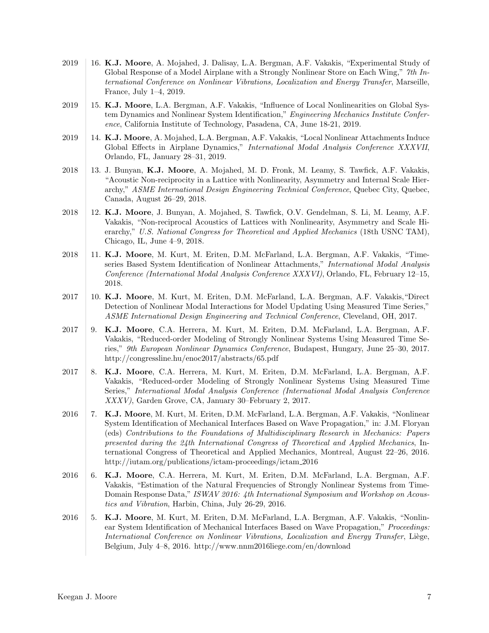- 2019 16. K.J. Moore, A. Mojahed, J. Dalisay, L.A. Bergman, A.F. Vakakis, "Experimental Study of Global Response of a Model Airplane with a Strongly Nonlinear Store on Each Wing," 7th International Conference on Nonlinear Vibrations, Localization and Energy Transfer, Marseille, France, July 1–4, 2019.
- 2019 15. K.J. Moore, L.A. Bergman, A.F. Vakakis, "Influence of Local Nonlinearities on Global System Dynamics and Nonlinear System Identification," Engineering Mechanics Institute Conference, California Institute of Technology, Pasadena, CA, June 18-21, 2019.
- 2019 | 14. K.J. Moore, A. Mojahed, L.A. Bergman, A.F. Vakakis, "Local Nonlinear Attachments Induce Global Effects in Airplane Dynamics," International Modal Analysis Conference XXXVII, Orlando, FL, January 28–31, 2019.
- 2018 13. J. Bunyan, K.J. Moore, A. Mojahed, M. D. Fronk, M. Leamy, S. Tawfick, A.F. Vakakis, "Acoustic Non-reciprocity in a Lattice with Nonlinearity, Asymmetry and Internal Scale Hierarchy," ASME International Design Engineering Technical Conference, Quebec City, Quebec, Canada, August 26–29, 2018.
- 2018 12. K.J. Moore, J. Bunyan, A. Mojahed, S. Tawfick, O.V. Gendelman, S. Li, M. Leamy, A.F. Vakakis, "Non-reciprocal Acoustics of Lattices with Nonlinearity, Asymmetry and Scale Hierarchy," U.S. National Congress for Theoretical and Applied Mechanics (18th USNC TAM), Chicago, IL, June 4–9, 2018.
- 2018 | 11. K.J. Moore, M. Kurt, M. Eriten, D.M. McFarland, L.A. Bergman, A.F. Vakakis, "Timeseries Based System Identification of Nonlinear Attachments," International Modal Analysis Conference (International Modal Analysis Conference XXXVI), Orlando, FL, February 12–15, 2018.
- 2017 10. K.J. Moore, M. Kurt, M. Eriten, D.M. McFarland, L.A. Bergman, A.F. Vakakis,"Direct Detection of Nonlinear Modal Interactions for Model Updating Using Measured Time Series," ASME International Design Engineering and Technical Conference, Cleveland, OH, 2017.
- 2017 9. K.J. Moore, C.A. Herrera, M. Kurt, M. Eriten, D.M. McFarland, L.A. Bergman, A.F. Vakakis, "Reduced-order Modeling of Strongly Nonlinear Systems Using Measured Time Series," 9th European Nonlinear Dynamics Conference, Budapest, Hungary, June 25–30, 2017. <http://congressline.hu/enoc2017/abstracts/65.pdf>
- 2017 8. K.J. Moore, C.A. Herrera, M. Kurt, M. Eriten, D.M. McFarland, L.A. Bergman, A.F. Vakakis, "Reduced-order Modeling of Strongly Nonlinear Systems Using Measured Time Series," International Modal Analysis Conference (International Modal Analysis Conference XXXV), Garden Grove, CA, January 30–February 2, 2017.
- 2016 7. K.J. Moore, M. Kurt, M. Eriten, D.M. McFarland, L.A. Bergman, A.F. Vakakis, "Nonlinear" System Identification of Mechanical Interfaces Based on Wave Propagation," in: J.M. Floryan (eds) Contributions to the Foundations of Multidisciplinary Research in Mechanics: Papers presented during the 24th International Congress of Theoretical and Applied Mechanics, International Congress of Theoretical and Applied Mechanics, Montreal, August 22–26, 2016. [http://iutam.org/publications/ictam-proceedings/ictam](http://iutam.org/publications/ictam-proceedings/ictam_2016) 2016
- 2016 6. K.J. Moore, C.A. Herrera, M. Kurt, M. Eriten, D.M. McFarland, L.A. Bergman, A.F. Vakakis, "Estimation of the Natural Frequencies of Strongly Nonlinear Systems from Time-Domain Response Data," ISWAV 2016: 4th International Symposium and Workshop on Acoustics and Vibration, Harbin, China, July 26-29, 2016.
- 2016 5. K.J. Moore, M. Kurt, M. Eriten, D.M. McFarland, L.A. Bergman, A.F. Vakakis, "Nonlinear System Identification of Mechanical Interfaces Based on Wave Propagation," Proceedings: International Conference on Nonlinear Vibrations, Localization and Energy Transfer, Liège, Belgium, July 4–8, 2016.<http://www.nnm2016liege.com/en/download>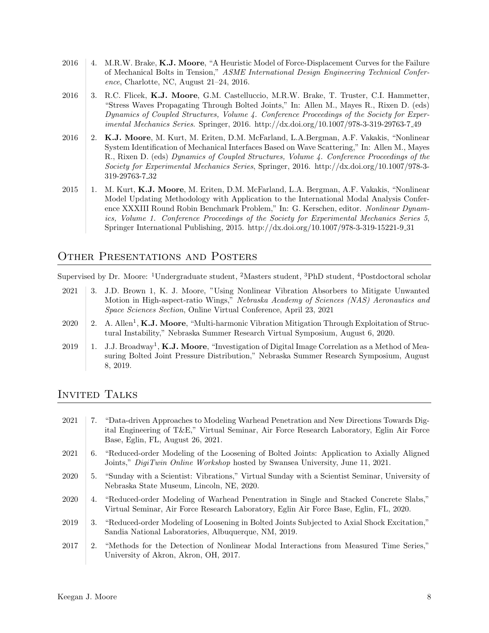- 2016 4. M.R.W. Brake, K.J. Moore, "A Heuristic Model of Force-Displacement Curves for the Failure of Mechanical Bolts in Tension," ASME International Design Engineering Technical Conference, Charlotte, NC, August 21–24, 2016.
- 2016 3. R.C. Flicek, K.J. Moore, G.M. Castelluccio, M.R.W. Brake, T. Truster, C.I. Hammetter, "Stress Waves Propagating Through Bolted Joints," In: Allen M., Mayes R., Rixen D. (eds) Dynamics of Coupled Structures, Volume 4. Conference Proceedings of the Society for Experimental Mechanics Series. Springer, 2016. [http://dx.doi.org/10.1007/978-3-319-29763-7](https://dx.doi.org/10.1007/978-3-319-29763-7_49) 49
- 2016 2. K.J. Moore, M. Kurt, M. Eriten, D.M. McFarland, L.A.Bergman, A.F. Vakakis, "Nonlinear System Identification of Mechanical Interfaces Based on Wave Scattering," In: Allen M., Mayes R., Rixen D. (eds) Dynamics of Coupled Structures, Volume 4. Conference Proceedings of the Society for Experimental Mechanics Series, Springer, 2016. [http://dx.doi.org/10.1007/978-3-](https://dx.doi.org/10.1007/978-3-319-29763-7_32) [319-29763-7](https://dx.doi.org/10.1007/978-3-319-29763-7_32) 32
- 2015 1. M. Kurt, K.J. Moore, M. Eriten, D.M. McFarland, L.A. Bergman, A.F. Vakakis, "Nonlinear" Model Updating Methodology with Application to the International Modal Analysis Conference XXXIII Round Robin Benchmark Problem," In: G. Kerschen, editor. Nonlinear Dynamics, Volume 1. Conference Proceedings of the Society for Experimental Mechanics Series 5, Springer International Publishing, 2015. [http://dx.doi.org/10.1007/978-3-319-15221-9](https://dx.doi.org/10.1007/978-3-319-15221-9_31) 31

## Other Presentations and Posters

Supervised by Dr. Moore: <sup>1</sup>Undergraduate student, <sup>2</sup>Masters student, <sup>3</sup>PhD student, <sup>4</sup>Postdoctoral scholar

- 2021 3. J.D. Brown 1, K. J. Moore, "Using Nonlinear Vibration Absorbers to Mitigate Unwanted Motion in High-aspect-ratio Wings," Nebraska Academy of Sciences (NAS) Aeronautics and Space Sciences Section, Online Virtual Conference, April 23, 2021
- 2020 | 2. A. Allen<sup>1</sup>, **K.J. Moore**, "Multi-harmonic Vibration Mitigation Through Exploitation of Structural Instability," Nebraska Summer Research Virtual Symposium, August 6, 2020.
- 2019 | 1. J.J. Broadway<sup>1</sup>, **K.J. Moore**, "Investigation of Digital Image Correlation as a Method of Measuring Bolted Joint Pressure Distribution," Nebraska Summer Research Symposium, August 8, 2019.

# Invited Talks

- 2021 7. "Data-driven Approaches to Modeling Warhead Penetration and New Directions Towards Digital Engineering of T&E," Virtual Seminar, Air Force Research Laboratory, Eglin Air Force Base, Eglin, FL, August 26, 2021. 2021 6. "Reduced-order Modeling of the Loosening of Bolted Joints: Application to Axially Aligned Joints," *DigiTwin Online Workshop* hosted by Swansea University, June 11, 2021. 2020 5. "Sunday with a Scientist: Vibrations," Virtual Sunday with a Scientist Seminar, University of Nebraska State Museum, Lincoln, NE, 2020. 2020 4. "Reduced-order Modeling of Warhead Penentration in Single and Stacked Concrete Slabs," Virtual Seminar, Air Force Research Laboratory, Eglin Air Force Base, Eglin, FL, 2020. 2019 3. "Reduced-order Modeling of Loosening in Bolted Joints Subjected to Axial Shock Excitation," Sandia National Laboratories, Albuquerque, NM, 2019. 2017 2. "Methods for the Detection of Nonlinear Modal Interactions from Measured Time Series,"
- University of Akron, Akron, OH, 2017.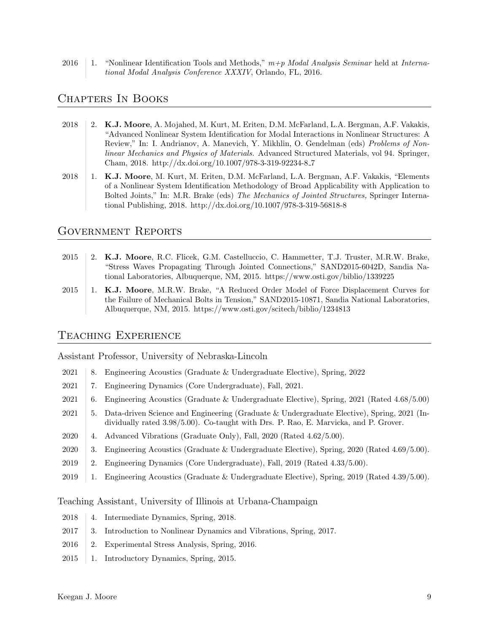2016 1. "Nonlinear Identification Tools and Methods,"  $m+p$  Modal Analysis Seminar held at International Modal Analysis Conference XXXIV, Orlando, FL, 2016.

## Chapters In Books

- 2018 2. K.J. Moore, A. Mojahed, M. Kurt, M. Eriten, D.M. McFarland, L.A. Bergman, A.F. Vakakis, "Advanced Nonlinear System Identification for Modal Interactions in Nonlinear Structures: A Review," In: I. Andrianov, A. Manevich, Y. Mikhlin, O. Gendelman (eds) Problems of Nonlinear Mechanics and Physics of Materials. Advanced Structured Materials, vol 94. Springer, Cham, 2018. [http://dx.doi.org/10.1007/978-3-319-92234-8](https://dx.doi.org/10.1007/978-3-319-92234-8_7) 7
- 2018 1. K.J. Moore, M. Kurt, M. Eriten, D.M. McFarland, L.A. Bergman, A.F. Vakakis, "Elements of a Nonlinear System Identification Methodology of Broad Applicability with Application to Bolted Joints," In: M.R. Brake (eds) The Mechanics of Jointed Structures, Springer International Publishing, 2018.<http://dx.doi.org/10.1007/978-3-319-56818-8>

#### Government Reports

- 2015 2. K.J. Moore, R.C. Flicek, G.M. Castelluccio, C. Hammetter, T.J. Truster, M.R.W. Brake, "Stress Waves Propagating Through Jointed Connections," SAND2015-6042D, Sandia National Laboratories, Albuquerque, NM, 2015.<https://www.osti.gov/biblio/1339225>
- 2015 1. K.J. Moore, M.R.W. Brake, "A Reduced Order Model of Force Displacement Curves for the Failure of Mechanical Bolts in Tension," SAND2015-10871, Sandia National Laboratories, Albuquerque, NM, 2015.<https://www.osti.gov/scitech/biblio/1234813>

#### Teaching Experience

Assistant Professor, University of Nebraska-Lincoln

- 2021 8. Engineering Acoustics (Graduate & Undergraduate Elective), Spring, 2022
- 2021 7. Engineering Dynamics (Core Undergraduate), Fall, 2021.
- 2021 6. Engineering Acoustics (Graduate & Undergraduate Elective), Spring, 2021 (Rated 4.68/5.00)
- 2021 5. Data-driven Science and Engineering (Graduate & Undergraduate Elective), Spring, 2021 (Individually rated 3.98/5.00). Co-taught with Drs. P. Rao, E. Marvicka, and P. Grover.
- 2020 4. Advanced Vibrations (Graduate Only), Fall, 2020 (Rated  $4.62/5.00$ ).
- 2020 3. Engineering Acoustics (Graduate & Undergraduate Elective), Spring, 2020 (Rated 4.69/5.00).
- 2019 2. Engineering Dynamics (Core Undergraduate), Fall, 2019 (Rated 4.33/5.00).
- 2019 1. Engineering Acoustics (Graduate & Undergraduate Elective), Spring, 2019 (Rated 4.39/5.00).

Teaching Assistant, University of Illinois at Urbana-Champaign

- 2018 4. Intermediate Dynamics, Spring, 2018.
- 2017 3. Introduction to Nonlinear Dynamics and Vibrations, Spring, 2017.
- 2016 2. Experimental Stress Analysis, Spring, 2016.
- 2015 1. Introductory Dynamics, Spring, 2015.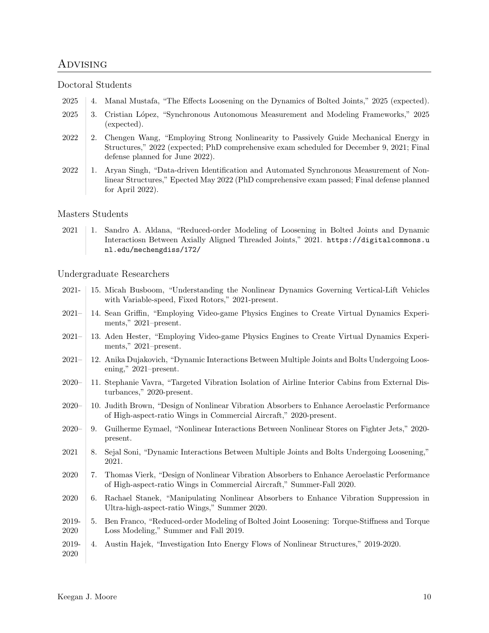## Advising

#### Doctoral Students

- 2025 4. Manal Mustafa, "The Effects Loosening on the Dynamics of Bolted Joints," 2025 (expected).
- 2025 3. Cristian L´opez, "Synchronous Autonomous Measurement and Modeling Frameworks," 2025 (expected).
- 2022 2. Chengen Wang, "Employing Strong Nonlinearity to Passively Guide Mechanical Energy in Structures," 2022 (expected; PhD comprehensive exam scheduled for December 9, 2021; Final defense planned for June 2022).
- 2022 1. Aryan Singh, "Data-driven Identification and Automated Synchronous Measurement of Nonlinear Structures," Epected May 2022 (PhD comprehensive exam passed; Final defense planned for April 2022).

#### Masters Students

2021 1. Sandro A. Aldana, "Reduced-order Modeling of Loosening in Bolted Joints and Dynamic Interactiosn Between Axially Aligned Threaded Joints," 2021. [https://digitalcommons.u](https://digitalcommons.unl.edu/mechengdiss/172/) [nl.edu/mechengdiss/172/](https://digitalcommons.unl.edu/mechengdiss/172/)

#### Undergraduate Researchers

- 2021- 15. Micah Busboom, "Understanding the Nonlinear Dynamics Governing Vertical-Lift Vehicles with Variable-speed, Fixed Rotors," 2021-present.
- 2021– 14. Sean Griffin, "Employing Video-game Physics Engines to Create Virtual Dynamics Experiments," 2021–present.
- 2021– 13. Aden Hester, "Employing Video-game Physics Engines to Create Virtual Dynamics Experiments," 2021–present.
- 2021– 12. Anika Dujakovich, "Dynamic Interactions Between Multiple Joints and Bolts Undergoing Loosening," 2021–present.
- 2020– 11. Stephanie Vavra, "Targeted Vibration Isolation of Airline Interior Cabins from External Disturbances," 2020-present.
- 2020– 10. Judith Brown, "Design of Nonlinear Vibration Absorbers to Enhance Aeroelastic Performance of High-aspect-ratio Wings in Commercial Aircraft," 2020-present.
- 2020– 9. Guilherme Eymael, "Nonlinear Interactions Between Nonlinear Stores on Fighter Jets," 2020 present.
- 2021 8. Sejal Soni, "Dynamic Interactions Between Multiple Joints and Bolts Undergoing Loosening," 2021.
- 2020 7. Thomas Vierk, "Design of Nonlinear Vibration Absorbers to Enhance Aeroelastic Performance of High-aspect-ratio Wings in Commercial Aircraft," Summer-Fall 2020.
- 2020 6. Rachael Stanek, "Manipulating Nonlinear Absorbers to Enhance Vibration Suppression in Ultra-high-aspect-ratio Wings," Summer 2020.
- 2019- 2020 5. Ben Franco, "Reduced-order Modeling of Bolted Joint Loosening: Torque-Stiffness and Torque Loss Modeling," Summer and Fall 2019.
- 2019- 2020 4. Austin Hajek, "Investigation Into Energy Flows of Nonlinear Structures," 2019-2020.